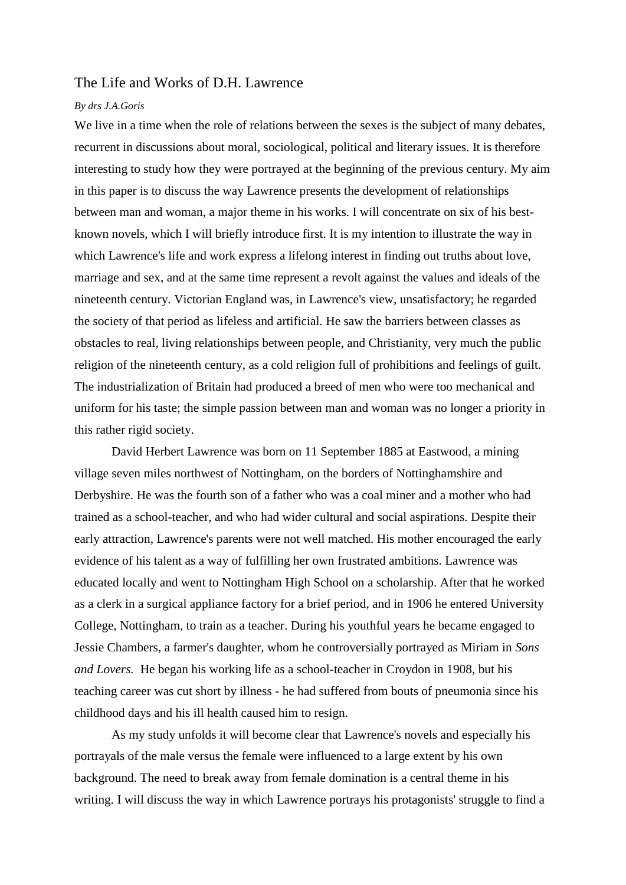## The Life and Works of D.H. Lawrence

## *By drs J.A.Goris*

We live in a time when the role of relations between the sexes is the subject of many debates, recurrent in discussions about moral, sociological, political and literary issues. It is therefore interesting to study how they were portrayed at the beginning of the previous century. My aim in this paper is to discuss the way Lawrence presents the development of relationships between man and woman, a major theme in his works. I will concentrate on six of his bestknown novels, which I will briefly introduce first. It is my intention to illustrate the way in which Lawrence's life and work express a lifelong interest in finding out truths about love, marriage and sex, and at the same time represent a revolt against the values and ideals of the nineteenth century. Victorian England was, in Lawrence's view, unsatisfactory; he regarded the society of that period as lifeless and artificial. He saw the barriers between classes as obstacles to real, living relationships between people, and Christianity, very much the public religion of the nineteenth century, as a cold religion full of prohibitions and feelings of guilt. The industrialization of Britain had produced a breed of men who were too mechanical and uniform for his taste; the simple passion between man and woman was no longer a priority in this rather rigid society.

David Herbert Lawrence was born on 11 September 1885 at Eastwood, a mining village seven miles northwest of Nottingham, on the borders of Nottinghamshire and Derbyshire. He was the fourth son of a father who was a coal miner and a mother who had trained as a school-teacher, and who had wider cultural and social aspirations. Despite their early attraction, Lawrence's parents were not well matched. His mother encouraged the early evidence of his talent as a way of fulfilling her own frustrated ambitions. Lawrence was educated locally and went to Nottingham High School on a scholarship. After that he worked as a clerk in a surgical appliance factory for a brief period, and in 1906 he entered University College, Nottingham, to train as a teacher. During his youthful years he became engaged to Jessie Chambers, a farmer's daughter, whom he controversially portrayed as Miriam in *Sons and Lovers.* He began his working life as a school-teacher in Croydon in 1908, but his teaching career was cut short by illness - he had suffered from bouts of pneumonia since his childhood days and his ill health caused him to resign.

As my study unfolds it will become clear that Lawrence's novels and especially his portrayals of the male versus the female were influenced to a large extent by his own background. The need to break away from female domination is a central theme in his writing. I will discuss the way in which Lawrence portrays his protagonists' struggle to find a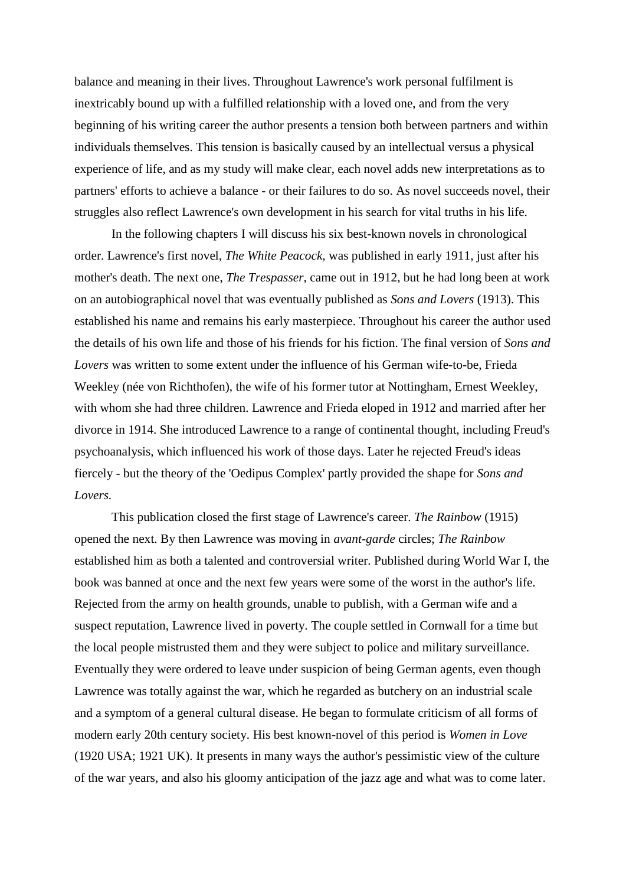balance and meaning in their lives. Throughout Lawrence's work personal fulfilment is inextricably bound up with a fulfilled relationship with a loved one, and from the very beginning of his writing career the author presents a tension both between partners and within individuals themselves. This tension is basically caused by an intellectual versus a physical experience of life, and as my study will make clear, each novel adds new interpretations as to partners' efforts to achieve a balance - or their failures to do so. As novel succeeds novel, their struggles also reflect Lawrence's own development in his search for vital truths in his life.

In the following chapters I will discuss his six best-known novels in chronological order. Lawrence's first novel, *The White Peacock,* was published in early 1911, just after his mother's death. The next one, *The Trespasser,* came out in 1912, but he had long been at work on an autobiographical novel that was eventually published as *Sons and Lovers* (1913). This established his name and remains his early masterpiece. Throughout his career the author used the details of his own life and those of his friends for his fiction. The final version of *Sons and Lovers* was written to some extent under the influence of his German wife-to-be, Frieda Weekley (née von Richthofen), the wife of his former tutor at Nottingham, Ernest Weekley, with whom she had three children. Lawrence and Frieda eloped in 1912 and married after her divorce in 1914. She introduced Lawrence to a range of continental thought, including Freud's psychoanalysis, which influenced his work of those days. Later he rejected Freud's ideas fiercely - but the theory of the 'Oedipus Complex' partly provided the shape for *Sons and Lovers.*

This publication closed the first stage of Lawrence's career. *The Rainbow* (1915) opened the next. By then Lawrence was moving in *avant-garde* circles; *The Rainbow*  established him as both a talented and controversial writer. Published during World War I, the book was banned at once and the next few years were some of the worst in the author's life. Rejected from the army on health grounds, unable to publish, with a German wife and a suspect reputation, Lawrence lived in poverty. The couple settled in Cornwall for a time but the local people mistrusted them and they were subject to police and military surveillance. Eventually they were ordered to leave under suspicion of being German agents, even though Lawrence was totally against the war, which he regarded as butchery on an industrial scale and a symptom of a general cultural disease. He began to formulate criticism of all forms of modern early 20th century society. His best known-novel of this period is *Women in Love* (1920 USA; 1921 UK). It presents in many ways the author's pessimistic view of the culture of the war years, and also his gloomy anticipation of the jazz age and what was to come later.